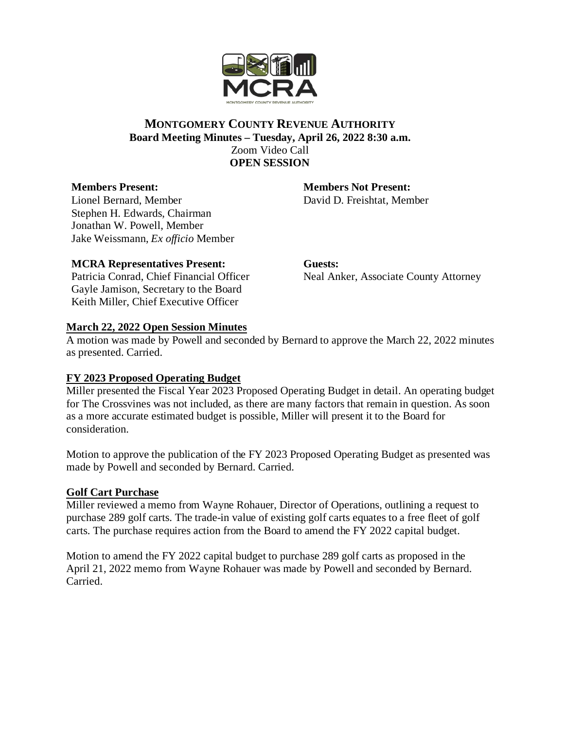

### **MONTGOMERY COUNTY REVENUE AUTHORITY Board Meeting Minutes – Tuesday, April 26, 2022 8:30 a.m.** Zoom Video Call **OPEN SESSION**

## **Members Present:**

Lionel Bernard, Member Stephen H. Edwards, Chairman Jonathan W. Powell, Member Jake Weissmann, *Ex officio* Member

## **MCRA Representatives Present:**

Patricia Conrad, Chief Financial Officer Gayle Jamison, Secretary to the Board Keith Miller, Chief Executive Officer

**Members Not Present:** David D. Freishtat, Member

**Guests:** Neal Anker, Associate County Attorney

## **March 22, 2022 Open Session Minutes**

A motion was made by Powell and seconded by Bernard to approve the March 22, 2022 minutes as presented. Carried.

# **FY 2023 Proposed Operating Budget**

Miller presented the Fiscal Year 2023 Proposed Operating Budget in detail. An operating budget for The Crossvines was not included, as there are many factors that remain in question. As soon as a more accurate estimated budget is possible, Miller will present it to the Board for consideration.

Motion to approve the publication of the FY 2023 Proposed Operating Budget as presented was made by Powell and seconded by Bernard. Carried.

#### **Golf Cart Purchase**

Miller reviewed a memo from Wayne Rohauer, Director of Operations, outlining a request to purchase 289 golf carts. The trade-in value of existing golf carts equates to a free fleet of golf carts. The purchase requires action from the Board to amend the FY 2022 capital budget.

Motion to amend the FY 2022 capital budget to purchase 289 golf carts as proposed in the April 21, 2022 memo from Wayne Rohauer was made by Powell and seconded by Bernard. Carried.